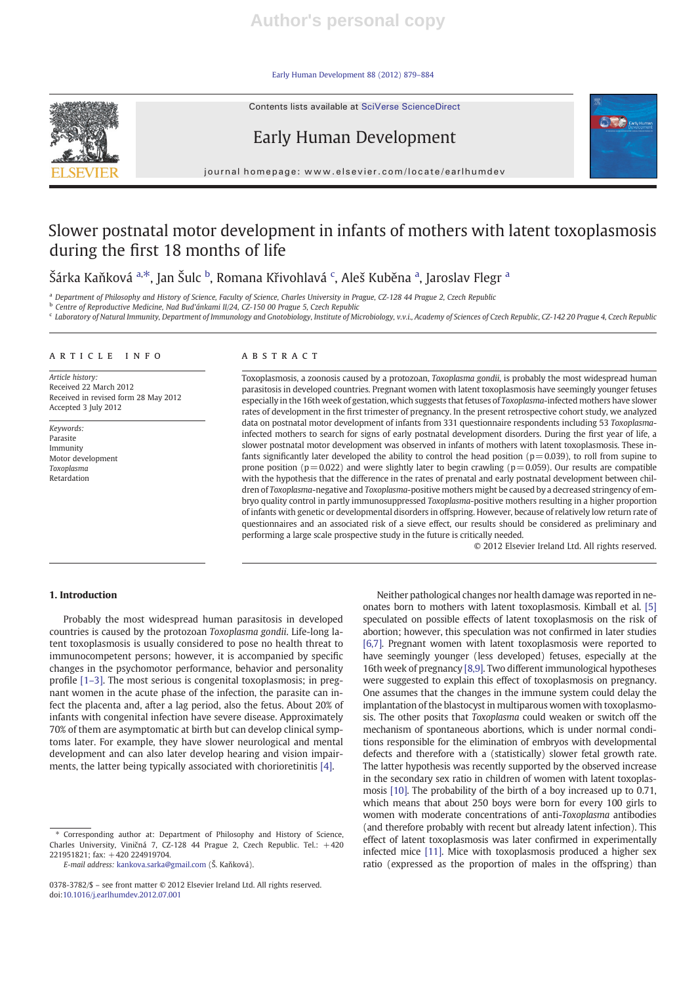Early Human Development 88 (2012) 879–884

Contents lists available at SciVerse ScienceDirect



Early Human Development



journal homepage: www.elsevier.com/locate/earlhumdev

# Slower postnatal motor development in infants of mothers with latent toxoplasmosis during the first 18 months of life

Šárka Kaňková <sup>a,\*</sup>, Jan Šulc <sup>b</sup>, Romana Křivohlavá <sup>c</sup>, Aleš Kuběna <sup>a</sup>, Jaroslav Flegr <sup>a</sup>

<sup>a</sup> Department of Philosophy and History of Science, Faculty of Science, Charles University in Prague, CZ-128 44 Prague 2, Czech Republic

b Centre of Reproductive Medicine, Nad Bud'ánkami II/24, CZ-150 00 Prague 5, Czech Republic

<sup>c</sup> Laboratory of Natural Immunity, Department of Immunology and Gnotobiology, Institute of Microbiology, v.v.i., Academy of Sciences of Czech Republic, CZ-142 20 Prague 4, Czech Republic

#### article info abstract

Article history: Received 22 March 2012 Received in revised form 28 May 2012 Accepted 3 July 2012

Keywords: Parasite Immunity Motor development Toxoplasma **Retardation** 

Toxoplasmosis, a zoonosis caused by a protozoan, Toxoplasma gondii, is probably the most widespread human parasitosis in developed countries. Pregnant women with latent toxoplasmosis have seemingly younger fetuses especially in the 16th week of gestation, which suggests that fetuses of Toxoplasma-infected mothers have slower rates of development in the first trimester of pregnancy. In the present retrospective cohort study, we analyzed data on postnatal motor development of infants from 331 questionnaire respondents including 53 Toxoplasmainfected mothers to search for signs of early postnatal development disorders. During the first year of life, a slower postnatal motor development was observed in infants of mothers with latent toxoplasmosis. These infants significantly later developed the ability to control the head position  $(p=0.039)$ , to roll from supine to prone position ( $p=0.022$ ) and were slightly later to begin crawling ( $p=0.059$ ). Our results are compatible with the hypothesis that the difference in the rates of prenatal and early postnatal development between children of Toxoplasma-negative and Toxoplasma-positive mothers might be caused by a decreased stringency of embryo quality control in partly immunosuppressed Toxoplasma-positive mothers resulting in a higher proportion of infants with genetic or developmental disorders in offspring. However, because of relatively low return rate of questionnaires and an associated risk of a sieve effect, our results should be considered as preliminary and performing a large scale prospective study in the future is critically needed.

© 2012 Elsevier Ireland Ltd. All rights reserved.

### 1. Introduction

Probably the most widespread human parasitosis in developed countries is caused by the protozoan Toxoplasma gondii. Life-long latent toxoplasmosis is usually considered to pose no health threat to immunocompetent persons; however, it is accompanied by specific changes in the psychomotor performance, behavior and personality profile [1–3]. The most serious is congenital toxoplasmosis; in pregnant women in the acute phase of the infection, the parasite can infect the placenta and, after a lag period, also the fetus. About 20% of infants with congenital infection have severe disease. Approximately 70% of them are asymptomatic at birth but can develop clinical symptoms later. For example, they have slower neurological and mental development and can also later develop hearing and vision impairments, the latter being typically associated with chorioretinitis [4].

Corresponding author at: Department of Philosophy and History of Science, Charles University, Viničná 7, CZ-128 44 Prague 2, Czech Republic. Tel.: +420 221951821; fax: +420 224919704.

E-mail address: kankova.sarka@gmail.com (Š. Kaňková).

Neither pathological changes nor health damage was reported in neonates born to mothers with latent toxoplasmosis. Kimball et al. [5] speculated on possible effects of latent toxoplasmosis on the risk of abortion; however, this speculation was not confirmed in later studies [6,7]. Pregnant women with latent toxoplasmosis were reported to have seemingly younger (less developed) fetuses, especially at the 16th week of pregnancy [8,9]. Two different immunological hypotheses were suggested to explain this effect of toxoplasmosis on pregnancy. One assumes that the changes in the immune system could delay the implantation of the blastocyst in multiparous women with toxoplasmosis. The other posits that Toxoplasma could weaken or switch off the mechanism of spontaneous abortions, which is under normal conditions responsible for the elimination of embryos with developmental defects and therefore with a (statistically) slower fetal growth rate. The latter hypothesis was recently supported by the observed increase in the secondary sex ratio in children of women with latent toxoplasmosis [10]. The probability of the birth of a boy increased up to 0.71, which means that about 250 boys were born for every 100 girls to women with moderate concentrations of anti-Toxoplasma antibodies (and therefore probably with recent but already latent infection). This effect of latent toxoplasmosis was later confirmed in experimentally infected mice [11]. Mice with toxoplasmosis produced a higher sex ratio (expressed as the proportion of males in the offspring) than

<sup>0378-3782/\$</sup> – see front matter © 2012 Elsevier Ireland Ltd. All rights reserved. doi:10.1016/j.earlhumdev.2012.07.001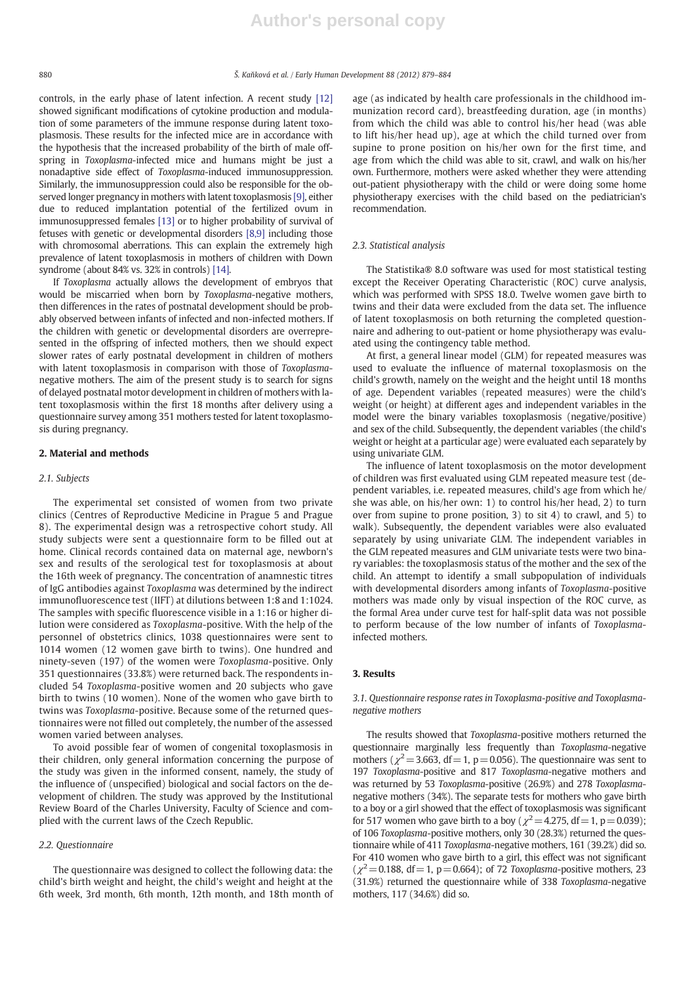controls, in the early phase of latent infection. A recent study [12] showed significant modifications of cytokine production and modulation of some parameters of the immune response during latent toxoplasmosis. These results for the infected mice are in accordance with the hypothesis that the increased probability of the birth of male offspring in Toxoplasma-infected mice and humans might be just a nonadaptive side effect of Toxoplasma-induced immunosuppression. Similarly, the immunosuppression could also be responsible for the observed longer pregnancy in mothers with latent toxoplasmosis [9], either due to reduced implantation potential of the fertilized ovum in immunosuppressed females [13] or to higher probability of survival of fetuses with genetic or developmental disorders [8,9] including those with chromosomal aberrations. This can explain the extremely high prevalence of latent toxoplasmosis in mothers of children with Down syndrome (about 84% vs. 32% in controls) [14].

If Toxoplasma actually allows the development of embryos that would be miscarried when born by Toxoplasma-negative mothers, then differences in the rates of postnatal development should be probably observed between infants of infected and non-infected mothers. If the children with genetic or developmental disorders are overrepresented in the offspring of infected mothers, then we should expect slower rates of early postnatal development in children of mothers with latent toxoplasmosis in comparison with those of Toxoplasmanegative mothers. The aim of the present study is to search for signs of delayed postnatal motor development in children of mothers with latent toxoplasmosis within the first 18 months after delivery using a questionnaire survey among 351 mothers tested for latent toxoplasmosis during pregnancy.

# 2. Material and methods

## 2.1. Subjects

The experimental set consisted of women from two private clinics (Centres of Reproductive Medicine in Prague 5 and Prague 8). The experimental design was a retrospective cohort study. All study subjects were sent a questionnaire form to be filled out at home. Clinical records contained data on maternal age, newborn's sex and results of the serological test for toxoplasmosis at about the 16th week of pregnancy. The concentration of anamnestic titres of IgG antibodies against Toxoplasma was determined by the indirect immunofluorescence test (IIFT) at dilutions between 1:8 and 1:1024. The samples with specific fluorescence visible in a 1:16 or higher dilution were considered as Toxoplasma-positive. With the help of the personnel of obstetrics clinics, 1038 questionnaires were sent to 1014 women (12 women gave birth to twins). One hundred and ninety-seven (197) of the women were Toxoplasma-positive. Only 351 questionnaires (33.8%) were returned back. The respondents included 54 Toxoplasma-positive women and 20 subjects who gave birth to twins (10 women). None of the women who gave birth to twins was Toxoplasma-positive. Because some of the returned questionnaires were not filled out completely, the number of the assessed women varied between analyses.

To avoid possible fear of women of congenital toxoplasmosis in their children, only general information concerning the purpose of the study was given in the informed consent, namely, the study of the influence of (unspecified) biological and social factors on the development of children. The study was approved by the Institutional Review Board of the Charles University, Faculty of Science and complied with the current laws of the Czech Republic.

#### 2.2. Questionnaire

The questionnaire was designed to collect the following data: the child's birth weight and height, the child's weight and height at the 6th week, 3rd month, 6th month, 12th month, and 18th month of age (as indicated by health care professionals in the childhood immunization record card), breastfeeding duration, age (in months) from which the child was able to control his/her head (was able to lift his/her head up), age at which the child turned over from supine to prone position on his/her own for the first time, and age from which the child was able to sit, crawl, and walk on his/her own. Furthermore, mothers were asked whether they were attending out-patient physiotherapy with the child or were doing some home physiotherapy exercises with the child based on the pediatrician's recommendation.

#### 2.3. Statistical analysis

The Statistika® 8.0 software was used for most statistical testing except the Receiver Operating Characteristic (ROC) curve analysis, which was performed with SPSS 18.0. Twelve women gave birth to twins and their data were excluded from the data set. The influence of latent toxoplasmosis on both returning the completed questionnaire and adhering to out-patient or home physiotherapy was evaluated using the contingency table method.

At first, a general linear model (GLM) for repeated measures was used to evaluate the influence of maternal toxoplasmosis on the child's growth, namely on the weight and the height until 18 months of age. Dependent variables (repeated measures) were the child's weight (or height) at different ages and independent variables in the model were the binary variables toxoplasmosis (negative/positive) and sex of the child. Subsequently, the dependent variables (the child's weight or height at a particular age) were evaluated each separately by using univariate GLM.

The influence of latent toxoplasmosis on the motor development of children was first evaluated using GLM repeated measure test (dependent variables, i.e. repeated measures, child's age from which he/ she was able, on his/her own: 1) to control his/her head, 2) to turn over from supine to prone position, 3) to sit 4) to crawl, and 5) to walk). Subsequently, the dependent variables were also evaluated separately by using univariate GLM. The independent variables in the GLM repeated measures and GLM univariate tests were two binary variables: the toxoplasmosis status of the mother and the sex of the child. An attempt to identify a small subpopulation of individuals with developmental disorders among infants of Toxoplasma-positive mothers was made only by visual inspection of the ROC curve, as the formal Area under curve test for half-split data was not possible to perform because of the low number of infants of Toxoplasmainfected mothers.

## 3. Results

3.1. Questionnaire response rates in Toxoplasma-positive and Toxoplasmanegative mothers

The results showed that Toxoplasma-positive mothers returned the questionnaire marginally less frequently than Toxoplasma-negative mothers ( $\chi^2$  = 3.663, df = 1, p = 0.056). The questionnaire was sent to 197 Toxoplasma-positive and 817 Toxoplasma-negative mothers and was returned by 53 Toxoplasma-positive (26.9%) and 278 Toxoplasmanegative mothers (34%). The separate tests for mothers who gave birth to a boy or a girl showed that the effect of toxoplasmosis was significant for 517 women who gave birth to a boy ( $\chi^2$  = 4.275, df = 1, p = 0.039); of 106 Toxoplasma-positive mothers, only 30 (28.3%) returned the questionnaire while of 411 Toxoplasma-negative mothers, 161 (39.2%) did so. For 410 women who gave birth to a girl, this effect was not significant  $(\chi^2=0.188, df=1, p=0.664)$ ; of 72 Toxoplasma-positive mothers, 23 (31.9%) returned the questionnaire while of 338 Toxoplasma-negative mothers, 117 (34.6%) did so.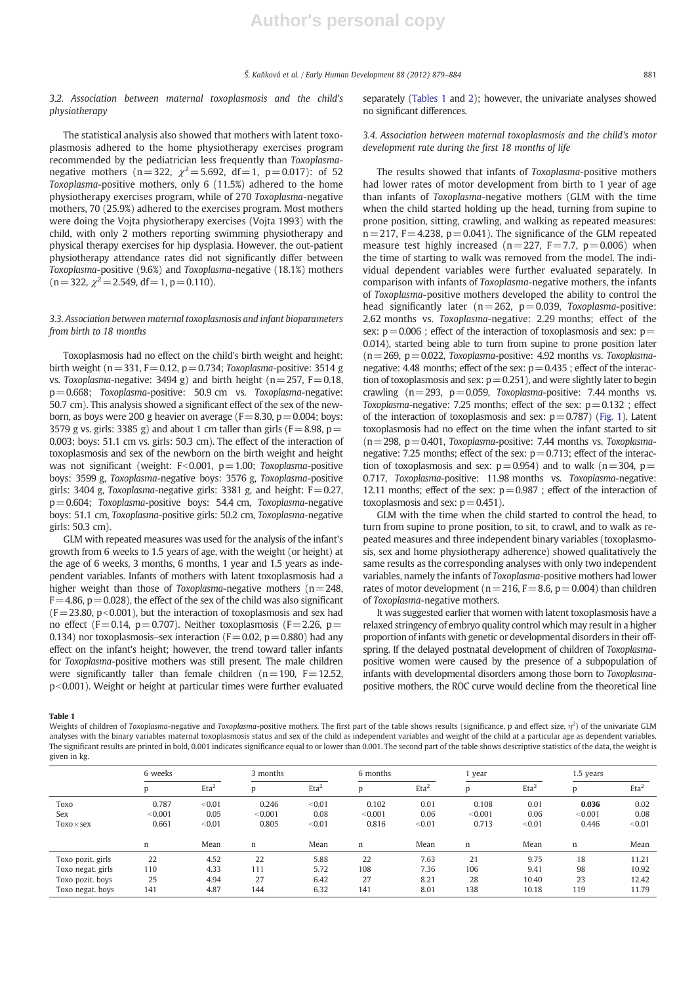# 3.2. Association between maternal toxoplasmosis and the child's physiotherapy

The statistical analysis also showed that mothers with latent toxoplasmosis adhered to the home physiotherapy exercises program recommended by the pediatrician less frequently than Toxoplasmanegative mothers (n=322,  $\chi^2$ = 5.692, df=1, p=0.017): of 52 Toxoplasma-positive mothers, only 6 (11.5%) adhered to the home physiotherapy exercises program, while of 270 Toxoplasma-negative mothers, 70 (25.9%) adhered to the exercises program. Most mothers were doing the Vojta physiotherapy exercises (Vojta 1993) with the child, with only 2 mothers reporting swimming physiotherapy and physical therapy exercises for hip dysplasia. However, the out-patient physiotherapy attendance rates did not significantly differ between Toxoplasma-positive (9.6%) and Toxoplasma-negative (18.1%) mothers  $(n=322, \chi^2=2.549, df=1, p=0.110).$ 

#### 3.3. Association between maternal toxoplasmosis and infant bioparameters from birth to 18 months

Toxoplasmosis had no effect on the child's birth weight and height: birth weight ( $n=331$ ,  $F=0.12$ ,  $p=0.734$ ; Toxoplasma-positive: 3514 g vs. Toxoplasma-negative: 3494 g) and birth height ( $n=257$ ,  $F=0.18$ , p=0.668; Toxoplasma-positive: 50.9 cm vs. Toxoplasma-negative: 50.7 cm). This analysis showed a significant effect of the sex of the newborn, as boys were 200 g heavier on average ( $F=8.30$ ,  $p=0.004$ ; boys: 3579 g vs. girls: 3385 g) and about 1 cm taller than girls ( $F=8.98$ ,  $p=$ 0.003; boys: 51.1 cm vs. girls: 50.3 cm). The effect of the interaction of toxoplasmosis and sex of the newborn on the birth weight and height was not significant (weight:  $F<0.001$ ,  $p=1.00$ ; Toxoplasma-positive boys: 3599 g, Toxoplasma-negative boys: 3576 g, Toxoplasma-positive girls: 3404 g, Toxoplasma-negative girls: 3381 g, and height:  $F=0.27$ , p=0.604; Toxoplasma-positive boys: 54.4 cm, Toxoplasma-negative boys: 51.1 cm, Toxoplasma-positive girls: 50.2 cm, Toxoplasma-negative girls: 50.3 cm).

GLM with repeated measures was used for the analysis of the infant's growth from 6 weeks to 1.5 years of age, with the weight (or height) at the age of 6 weeks, 3 months, 6 months, 1 year and 1.5 years as independent variables. Infants of mothers with latent toxoplasmosis had a higher weight than those of Toxoplasma-negative mothers ( $n=248$ ,  $F=4.86$ ,  $p=0.028$ ), the effect of the sex of the child was also significant  $(F=23.80, p<0.001)$ , but the interaction of toxoplasmosis and sex had no effect (F=0.14, p=0.707). Neither toxoplasmosis (F=2.26, p= 0.134) nor toxoplasmosis–sex interaction ( $F=0.02$ ,  $p=0.880$ ) had any effect on the infant's height; however, the trend toward taller infants for Toxoplasma-positive mothers was still present. The male children were significantly taller than female children ( $n=190$ ,  $F=12.52$ ,  $p<0.001$ ). Weight or height at particular times were further evaluated separately (Tables 1 and 2); however, the univariate analyses showed no significant differences.

# 3.4. Association between maternal toxoplasmosis and the child's motor development rate during the first 18 months of life

The results showed that infants of Toxoplasma-positive mothers had lower rates of motor development from birth to 1 year of age than infants of Toxoplasma-negative mothers (GLM with the time when the child started holding up the head, turning from supine to prone position, sitting, crawling, and walking as repeated measures:  $n=217$ ,  $F= 4.238$ ,  $p= 0.041$ ). The significance of the GLM repeated measure test highly increased ( $n=227$ ,  $F= 7.7$ ,  $p=0.006$ ) when the time of starting to walk was removed from the model. The individual dependent variables were further evaluated separately. In comparison with infants of Toxoplasma-negative mothers, the infants of Toxoplasma-positive mothers developed the ability to control the head significantly later ( $n= 262$ ,  $p=0.039$ , Toxoplasma-positive: 2.62 months vs. Toxoplasma-negative: 2.29 months; effect of the sex:  $p = 0.006$  ; effect of the interaction of toxoplasmosis and sex:  $p=$ 0.014), started being able to turn from supine to prone position later  $(n=269, p=0.022, Toxoplasma-positive: 4.92 months vs. Toxoplasma$ negative: 4.48 months; effect of the sex:  $p = 0.435$ ; effect of the interaction of toxoplasmosis and sex:  $p = 0.251$ ), and were slightly later to begin crawling  $(n=293, p=0.059, Toxoplasma-positive: 7.44 months vs.$ Toxoplasma-negative: 7.25 months; effect of the sex:  $p = 0.132$ ; effect of the interaction of toxoplasmosis and sex:  $p=0.787$ ) (Fig. 1). Latent toxoplasmosis had no effect on the time when the infant started to sit  $(n=298, p=0.401, Toxoplasma-positive: 7.44 months vs. Toxoplasma$ negative: 7.25 months; effect of the sex:  $p = 0.713$ ; effect of the interaction of toxoplasmosis and sex:  $p=0.954$ ) and to walk (n=304, p= 0.717, Toxoplasma-positive: 11.98 months vs. Toxoplasma-negative: 12.11 months; effect of the sex:  $p=0.987$ ; effect of the interaction of toxoplasmosis and sex:  $p = 0.451$ ).

GLM with the time when the child started to control the head, to turn from supine to prone position, to sit, to crawl, and to walk as repeated measures and three independent binary variables (toxoplasmosis, sex and home physiotherapy adherence) showed qualitatively the same results as the corresponding analyses with only two independent variables, namely the infants of Toxoplasma-positive mothers had lower rates of motor development ( $n=216$ ,  $F=8.6$ ,  $p=0.004$ ) than children of Toxoplasma-negative mothers.

It was suggested earlier that women with latent toxoplasmosis have a relaxed stringency of embryo quality control which may result in a higher proportion of infants with genetic or developmental disorders in their offspring. If the delayed postnatal development of children of Toxoplasmapositive women were caused by the presence of a subpopulation of infants with developmental disorders among those born to Toxoplasmapositive mothers, the ROC curve would decline from the theoretical line

Table 1

Weights of children of Toxoplasma-negative and Toxoplasma-positive mothers. The first part of the table shows results (significance, p and effect size,  $\eta^2$ ) of the univariate GLM analyses with the binary variables maternal toxoplasmosis status and sex of the child as independent variables and weight of the child at a particular age as dependent variables. The significant results are printed in bold, 0.001 indicates significance equal to or lower than 0.001. The second part of the table shows descriptive statistics of the data, the weight is given in kg.

|                   | 6 weeks |                  | 3 months |                  | 6 months    |                  | 1 year  |                  | 1.5 years |                  |
|-------------------|---------|------------------|----------|------------------|-------------|------------------|---------|------------------|-----------|------------------|
|                   | D       | Eta <sup>2</sup> | D        | Eta <sup>2</sup> | D           | Eta <sup>2</sup> | D       | Eta <sup>2</sup> |           | Eta <sup>2</sup> |
| Toxo              | 0.787   | < 0.01           | 0.246    | < 0.01           | 0.102       | 0.01             | 0.108   | 0.01             | 0.036     | 0.02             |
| Sex               | < 0.001 | 0.05             | < 0.001  | 0.08             | < 0.001     | 0.06             | < 0.001 | 0.06             | < 0.001   | 0.08             |
| $Toxo \times sex$ | 0.661   | < 0.01           | 0.805    | < 0.01           | 0.816       | < 0.01           | 0.713   | < 0.01           | 0.446     | < 0.01           |
|                   | n       | Mean             | n        | Mean             | $\mathbf n$ | Mean             | n       | Mean             | n         | Mean             |
| Toxo pozit, girls | 22      | 4.52             | 22       | 5.88             | 22          | 7.63             | 21      | 9.75             | 18        | 11.21            |
| Toxo negat. girls | 110     | 4.33             | 111      | 5.72             | 108         | 7.36             | 106     | 9.41             | 98        | 10.92            |
| Toxo pozit, boys  | 25      | 4.94             | 27       | 6.42             | 27          | 8.21             | 28      | 10.40            | 23        | 12.42            |
| Toxo negat. boys  | 141     | 4.87             | 144      | 6.32             | 141         | 8.01             | 138     | 10.18            | 119       | 11.79            |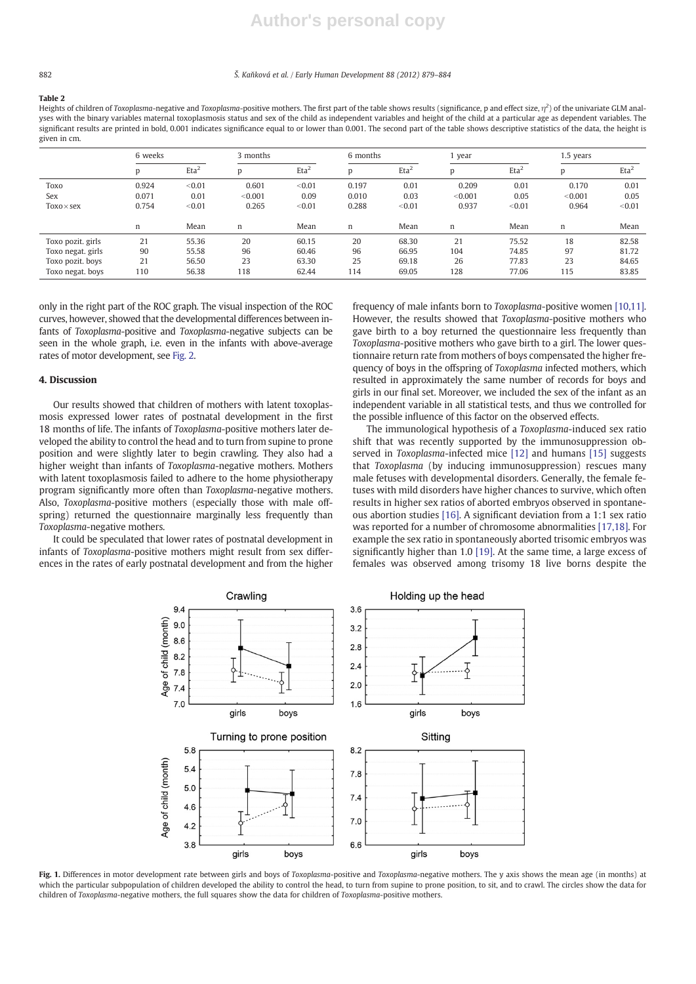#### 882 Š. Kaňková et al. / Early Human Development 88 (2012) 879–884

#### Table 2

Heights of children of Toxoplasma-negative and Toxoplasma-positive mothers. The first part of the table shows results (significance, p and effect size,  $\eta^2$ ) of the univariate GLM analyses with the binary variables maternal toxoplasmosis status and sex of the child as independent variables and height of the child at a particular age as dependent variables. The significant results are printed in bold, 0.001 indicates significance equal to or lower than 0.001. The second part of the table shows descriptive statistics of the data, the height is given in cm.

|                   | 6 weeks |                  | 3 months |                  | 6 months |                  | 1 year  |                  | 1.5 years |                  |
|-------------------|---------|------------------|----------|------------------|----------|------------------|---------|------------------|-----------|------------------|
|                   | p       | Eta <sup>2</sup> | D        | Eta <sup>2</sup> | p        | Eta <sup>2</sup> | D       | Eta <sup>2</sup> | p         | Eta <sup>2</sup> |
| Toxo              | 0.924   | < 0.01           | 0.601    | < 0.01           | 0.197    | 0.01             | 0.209   | 0.01             | 0.170     | 0.01             |
| Sex               | 0.071   | 0.01             | < 0.001  | 0.09             | 0.010    | 0.03             | < 0.001 | 0.05             | < 0.001   | 0.05             |
| $Toxo \times sex$ | 0.754   | < 0.01           | 0.265    | < 0.01           | 0.288    | < 0.01           | 0.937   | < 0.01           | 0.964     | < 0.01           |
|                   | n       | Mean             | n        | Mean             | n        | Mean             | n       | Mean             | n         | Mean             |
| Toxo pozit, girls | 21      | 55.36            | 20       | 60.15            | 20       | 68.30            | 21      | 75.52            | 18        | 82.58            |
| Toxo negat. girls | 90      | 55.58            | 96       | 60.46            | 96       | 66.95            | 104     | 74.85            | 97        | 81.72            |
| Toxo pozit, boys  | 21      | 56.50            | 23       | 63.30            | 25       | 69.18            | 26      | 77.83            | 23        | 84.65            |
| Toxo negat, boys  | 110     | 56.38            | 118      | 62.44            | 114      | 69.05            | 128     | 77.06            | 115       | 83.85            |

only in the right part of the ROC graph. The visual inspection of the ROC curves, however, showed that the developmental differences between infants of Toxoplasma-positive and Toxoplasma-negative subjects can be seen in the whole graph, i.e. even in the infants with above-average rates of motor development, see Fig. 2.

# 4. Discussion

Our results showed that children of mothers with latent toxoplasmosis expressed lower rates of postnatal development in the first 18 months of life. The infants of Toxoplasma-positive mothers later developed the ability to control the head and to turn from supine to prone position and were slightly later to begin crawling. They also had a higher weight than infants of Toxoplasma-negative mothers. Mothers with latent toxoplasmosis failed to adhere to the home physiotherapy program significantly more often than Toxoplasma-negative mothers. Also, Toxoplasma-positive mothers (especially those with male offspring) returned the questionnaire marginally less frequently than Toxoplasma-negative mothers.

It could be speculated that lower rates of postnatal development in infants of Toxoplasma-positive mothers might result from sex differences in the rates of early postnatal development and from the higher frequency of male infants born to Toxoplasma-positive women [10,11]. However, the results showed that Toxoplasma-positive mothers who gave birth to a boy returned the questionnaire less frequently than Toxoplasma-positive mothers who gave birth to a girl. The lower questionnaire return rate from mothers of boys compensated the higher frequency of boys in the offspring of Toxoplasma infected mothers, which resulted in approximately the same number of records for boys and girls in our final set. Moreover, we included the sex of the infant as an independent variable in all statistical tests, and thus we controlled for the possible influence of this factor on the observed effects.

The immunological hypothesis of a Toxoplasma-induced sex ratio shift that was recently supported by the immunosuppression observed in Toxoplasma-infected mice [12] and humans [15] suggests that Toxoplasma (by inducing immunosuppression) rescues many male fetuses with developmental disorders. Generally, the female fetuses with mild disorders have higher chances to survive, which often results in higher sex ratios of aborted embryos observed in spontaneous abortion studies [16]. A significant deviation from a 1:1 sex ratio was reported for a number of chromosome abnormalities [17,18]. For example the sex ratio in spontaneously aborted trisomic embryos was significantly higher than 1.0 [19]. At the same time, a large excess of females was observed among trisomy 18 live borns despite the



Fig. 1. Differences in motor development rate between girls and boys of Toxoplasma-positive and Toxoplasma-negative mothers. The y axis shows the mean age (in months) at which the particular subpopulation of children developed the ability to control the head, to turn from supine to prone position, to sit, and to crawl. The circles show the data for children of Toxoplasma-negative mothers, the full squares show the data for children of Toxoplasma-positive mothers.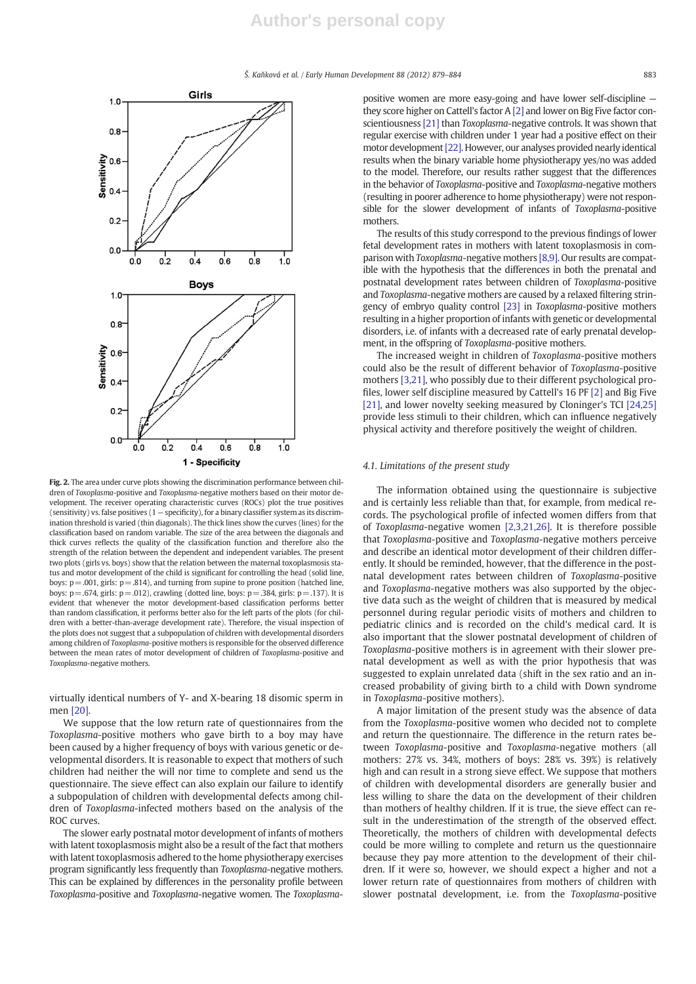Š. Kaňková et al. / Early Human Development 88 (2012) 879–884 883



Fig. 2. The area under curve plots showing the discrimination performance between children of Toxoplasma-positive and Toxoplasma-negative mothers based on their motor development. The receiver operating characteristic curves (ROCs) plot the true positives (sensitivity) vs. false positives (1 — specificity), for a binary classifier system as its discrimination threshold is varied (thin diagonals). The thick lines show the curves (lines) for the classification based on random variable. The size of the area between the diagonals and thick curves reflects the quality of the classification function and therefore also the strength of the relation between the dependent and independent variables. The present two plots (girls vs. boys) show that the relation between the maternal toxoplasmosis status and motor development of the child is significant for controlling the head (solid line, boys:  $p = .001$ , girls:  $p = .814$ ), and turning from supine to prone position (hatched line, boys:  $p = .674$ , girls:  $p = .012$ ), crawling (dotted line, boys:  $p = .384$ , girls:  $p = .137$ ). It is evident that whenever the motor development-based classification performs better than random classification, it performs better also for the left parts of the plots (for children with a better-than-average development rate). Therefore, the visual inspection of the plots does not suggest that a subpopulation of children with developmental disorders among children of Toxoplasma-positive mothers is responsible for the observed difference between the mean rates of motor development of children of Toxoplasma-positive and Toxoplasma-negative mothers.

virtually identical numbers of Y- and X-bearing 18 disomic sperm in men [20].

We suppose that the low return rate of questionnaires from the Toxoplasma-positive mothers who gave birth to a boy may have been caused by a higher frequency of boys with various genetic or developmental disorders. It is reasonable to expect that mothers of such children had neither the will nor time to complete and send us the questionnaire. The sieve effect can also explain our failure to identify a subpopulation of children with developmental defects among children of Toxoplasma-infected mothers based on the analysis of the ROC curves.

The slower early postnatal motor development of infants of mothers with latent toxoplasmosis might also be a result of the fact that mothers with latent toxoplasmosis adhered to the home physiotherapy exercises program significantly less frequently than Toxoplasma-negative mothers. This can be explained by differences in the personality profile between Toxoplasma-positive and Toxoplasma-negative women. The Toxoplasmapositive women are more easy-going and have lower self-discipline they score higher on Cattell's factor A [2] and lower on Big Five factor conscientiousness [21] than Toxoplasma-negative controls. It was shown that regular exercise with children under 1 year had a positive effect on their motor development [22]. However, our analyses provided nearly identical results when the binary variable home physiotherapy yes/no was added to the model. Therefore, our results rather suggest that the differences in the behavior of Toxoplasma-positive and Toxoplasma-negative mothers (resulting in poorer adherence to home physiotherapy) were not responsible for the slower development of infants of Toxoplasma-positive mothers.

The results of this study correspond to the previous findings of lower fetal development rates in mothers with latent toxoplasmosis in comparison with Toxoplasma-negative mothers [8,9]. Our results are compatible with the hypothesis that the differences in both the prenatal and postnatal development rates between children of Toxoplasma-positive and Toxoplasma-negative mothers are caused by a relaxed filtering stringency of embryo quality control [23] in Toxoplasma-positive mothers resulting in a higher proportion of infants with genetic or developmental disorders, i.e. of infants with a decreased rate of early prenatal development, in the offspring of Toxoplasma-positive mothers.

The increased weight in children of Toxoplasma-positive mothers could also be the result of different behavior of Toxoplasma-positive mothers [3,21], who possibly due to their different psychological profiles, lower self discipline measured by Cattell's 16 PF [2] and Big Five [21], and lower novelty seeking measured by Cloninger's TCI [24,25] provide less stimuli to their children, which can influence negatively physical activity and therefore positively the weight of children.

# 4.1. Limitations of the present study

The information obtained using the questionnaire is subjective and is certainly less reliable than that, for example, from medical records. The psychological profile of infected women differs from that of Toxoplasma-negative women [2,3,21,26]. It is therefore possible that Toxoplasma-positive and Toxoplasma-negative mothers perceive and describe an identical motor development of their children differently. It should be reminded, however, that the difference in the postnatal development rates between children of Toxoplasma-positive and Toxoplasma-negative mothers was also supported by the objective data such as the weight of children that is measured by medical personnel during regular periodic visits of mothers and children to pediatric clinics and is recorded on the child's medical card. It is also important that the slower postnatal development of children of Toxoplasma-positive mothers is in agreement with their slower prenatal development as well as with the prior hypothesis that was suggested to explain unrelated data (shift in the sex ratio and an increased probability of giving birth to a child with Down syndrome in Toxoplasma-positive mothers).

A major limitation of the present study was the absence of data from the Toxoplasma-positive women who decided not to complete and return the questionnaire. The difference in the return rates between Toxoplasma-positive and Toxoplasma-negative mothers (all mothers: 27% vs. 34%, mothers of boys: 28% vs. 39%) is relatively high and can result in a strong sieve effect. We suppose that mothers of children with developmental disorders are generally busier and less willing to share the data on the development of their children than mothers of healthy children. If it is true, the sieve effect can result in the underestimation of the strength of the observed effect. Theoretically, the mothers of children with developmental defects could be more willing to complete and return us the questionnaire because they pay more attention to the development of their children. If it were so, however, we should expect a higher and not a lower return rate of questionnaires from mothers of children with slower postnatal development, i.e. from the Toxoplasma-positive